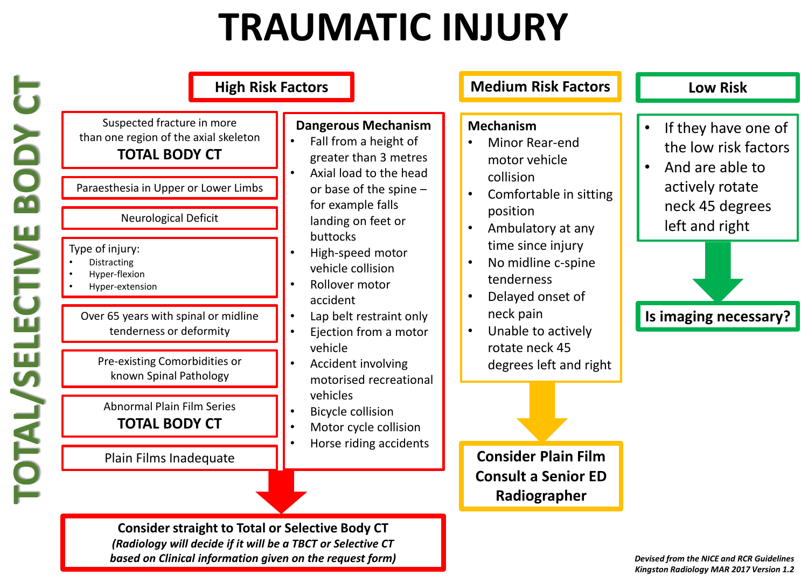## **TRAUMATIC INJURY**

| <b>High Risk Factors</b>                                                                                                                                                                                                                                                                                                                                                                                                                               |                                                                                                                                                                                                                                                                                                                                                                                                                                                                          | <b>Medium Risk Factors</b>                                                                                                                                                                                                                                                                                                                                                                    | <b>Low Risk</b>                                                                                                                                                           |
|--------------------------------------------------------------------------------------------------------------------------------------------------------------------------------------------------------------------------------------------------------------------------------------------------------------------------------------------------------------------------------------------------------------------------------------------------------|--------------------------------------------------------------------------------------------------------------------------------------------------------------------------------------------------------------------------------------------------------------------------------------------------------------------------------------------------------------------------------------------------------------------------------------------------------------------------|-----------------------------------------------------------------------------------------------------------------------------------------------------------------------------------------------------------------------------------------------------------------------------------------------------------------------------------------------------------------------------------------------|---------------------------------------------------------------------------------------------------------------------------------------------------------------------------|
| Suspected fracture in more<br>than one region of the axial skeleton<br><b>TOTAL BODY CT</b><br>Paraesthesia in Upper or Lower Limbs<br>Neurological Deficit<br>Type of injury:<br>Distracting<br>Hyper-flexion<br>Hyper-extension<br>Over 65 years with spinal or midline<br>tenderness or deformity<br>Pre-existing Comorbidities or<br>known Spinal Pathology<br><b>Abnormal Plain Film Series</b><br><b>TOTAL BODY CT</b><br>Plain Films Inadequate | <b>Dangerous Mechanism</b><br>Fall from a height of<br>greater than 3 metres<br>Axial load to the head<br>or base of the spine -<br>for example falls<br>landing on feet or<br>buttocks<br>High-speed motor<br>vehicle collision<br>Rollover motor<br>accident<br>Lap belt restraint only<br>Ejection from a motor<br>vehicle<br>Accident involving<br>motorised recreational<br>vehicles<br><b>Bicycle collision</b><br>Motor cycle collision<br>Horse riding accidents | <b>Mechanism</b><br>Minor Rear-end<br>motor vehicle<br>collision<br>Comfortable in sitting<br>$\bullet$<br>position<br>Ambulatory at any<br>time since injury<br>No midline c-spine<br>$\bullet$<br>tenderness<br>Delayed onset of<br>neck pain<br>Unable to actively<br>rotate neck 45<br>degrees left and right<br><b>Consider Plain Film</b><br><b>Consult a Senior ED</b><br>Radiographer | If they have one of<br>$\bullet$<br>the low risk factors<br>And are able to<br>$\bullet$<br>actively rotate<br>neck 45 degrees<br>left and right<br>Is imaging necessary? |

*(Radiology will decide if it will be a TBCT or Selective CT based on Clinical information given on the request form)*

*Devised from the NICE and RCR Guidelines Kingston Radiology MAR 2017 Version 1.2*